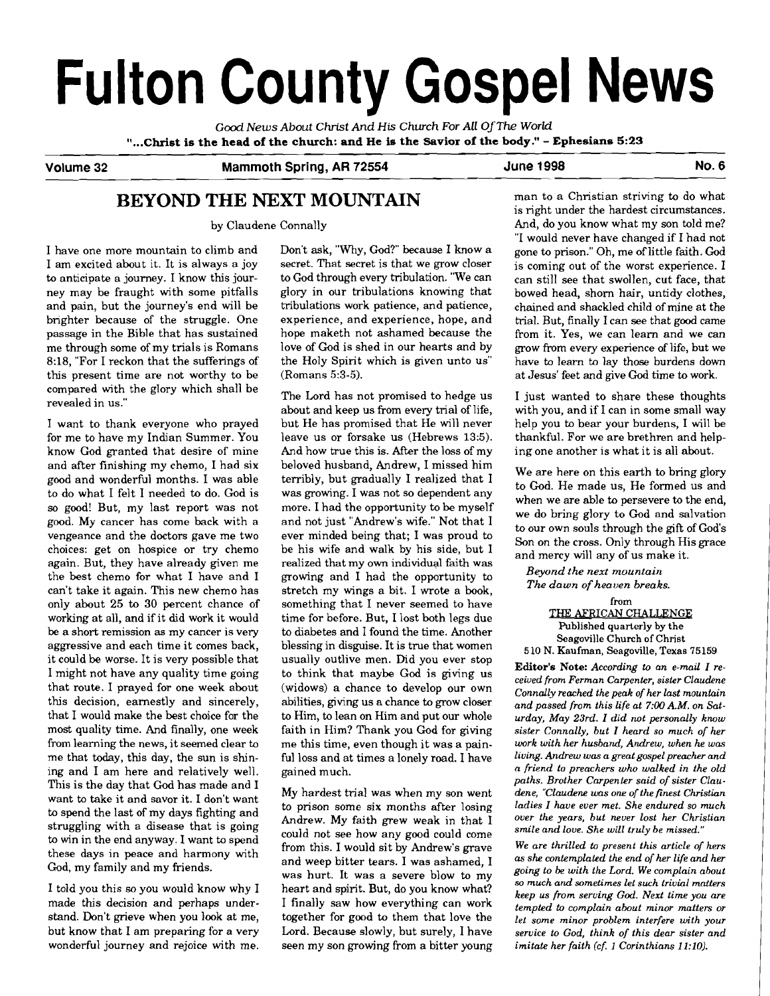# **Fulton County Gospel News**

*Good* **News** *About Christ And* **His** *Church For All Of The World*  **"...Christ is the head of the church: and He is the Savior of the body."** - **Ephesians 5:23** 

# **Volume 32 Mammoth Spring, AR 72554 June 1998 No. 6**

# **BEYOND THE NEXT MOUNTAIN**

by Claudene Connally

I have one more mountain to climb and I am excited about it. It is always a joy to anticipate a journey. I know this journey may be fraught with some pitfalls and pain, but the journey's end will be brighter because of the struggle. One passage in the Bible that has sustained me through some of my trials is Romans 8:18, "For I reckon that the sufferings of this present time are not worthy to be compared with the glory which shall be

I want to thank everyone who prayed but He has promised that He will never help you to bear your burdens, I will be for me to have my Indian Summer. You leave us or forsake us (Hebrews **13:5).** thankful. For we are brethren and helpknow God granted that desire of mine And how true this is. After the loss of my ing one another is what it is all about. and after finishing my chemo, I had six good and wonderful months. I was able to do what I felt I needed to do. God is so good! But, my last report was not good. My cancer has come back with a vengeance and the doctors gave me two choices: get on hospice or try chemo again. But, they have already given me the best chemo for what I have and I can't take it again. This new chemo has only about 25 to 30 percent chance of working at all, and if it did work it would be a short remission **as** my cancer is very aggressive and each time it comes back, it could be worse. It is very possible that I might not have any quality time going that route. I prayed for one week about this decision, earnestly and sincerely, that I would make the best choice for the most quality time. And finally, one week from learning the news, it seemed clear to me that today, this day, the sun is shining and I am here and relatively well. This is the day that God has made and I want to take it and savor it. I don't want to spend the last of my days fighting and struggling with a disease that is going to win in the end anyway. I want to spend these days in peace and harmony with God, my family and my friends.

I told you this **so** you would know why I made this decision and perhaps understand. Don't grieve when you look at me, but know that I am preparing for a very wonderful journey and rejoice with me. Don't ask, "Why, God?" because I know a secret. That secret is that we grow closer to God through every tribulation. "We can glory in our tribulations knowing that tribulations work patience, and patience, experience, and experience, hope, and hope maketh not ashamed because the love of God is shed in our hearts and by the Holy Spirit which is given unto us" (Romans **53-5).** 

revealed in us." The Lord has not promised to hedge us I just wanted to share these thoughts revealed in us." about and keep us from every trial of life, with you, and if I can in some small way about and keep us from every trial of life, with you, and if I can in some small way<br>but He has promised that He will never help you to bear your burdens, I will be beloved husband, Andrew, I missed him terribly, but gradually I realized that I was growing. I was not so dependent any more. I had the opportunity to be myself and not just "Andrew's wife." Not that I ever minded being that; I was proud to be his wife and walk by his side, but I realized that my own individual faith was growing and I had the opportunity to stretch my wings a bit. I wrote a book. something that I never seemed to have time for before. But, I lost both legs due to diabetes and I found the time. Another blessing in disguise. It is true that women usually outlive men. Did you ever stop to think that maybe God is giving us (widows) a chance to develop our own abilities, giving us a chance to grow closer to Him, to lean on Him and put our whole faith in Him? Thank you God for giving me this time, even though it was a painful loss and at times a lonely road. I have gained much.

> My hardest trial was when my son went to prison some six months after losing Andrew. My faith grew weak in that I could not see how any good could come from this. I would sit by Andrew's grave and weep bitter tears. I was ashamed, I was hurt. It was a severe blow to my heart and spirit. But, do you know what? I finally saw how everything can work together for good to them that love the Lord. Because slowly, but surely, I have seen my son growing from a bitter young

man to a Christian striving to do what is right under the hardest circumstances. And, do you know what my son told me? "I would never have changed if I had not gone to prison." Oh, me of little faith. God is coming out of the worst experience. I can still see that swollen, cut face, that bowed head, shorn hair, untidy clothes, chained and shackled child of mine at the trial. But, finally I can see that good came from it. Yes, we can learn and we can grow from every experience of life, but we have to learn to lay those burdens down at Jesus' feet and give God time to work.

We are here on this earth to bring glory to God. He made us, He formed us and when we are able to persevere to the end, we do bring glory to God and salvation to our own souls through the gift of God's Son on the cross. Only through His grace and mercy will any of us make it.

*Beyond the next mountain The dawn of heauen breaks.* 

*from THE AFRICAN CHALLENGE Published quarterly by the Seagoville Church of Christ*  **510** *N. Kaufman, Seagoville, Texas* **75159** 

**Editor's Note:** *According to an e-mail I received fiom Ferman Carpenter, sister Claudene Connally reached the peak of her last mountain and passed from this life at* **7:00** *A.M. on Saturday, May 23rd. I did not personally know sister Connally, but I heard so much of her work with her husband, Andrew, when he was living. Andrew was a great gospel preacher and a friend to preachers who walked in the old paths. Brother Carpenter said of sister Claudene, "Claudene was one of the finest Christian ladies I have ever met. She endured so much over the years, but never lost her Christian smile and love. She will truly be missed."* 

*We are thrilled* **to** *present this article of hers as she contemplated the end of her life and her going to be with the Lord. We complain about so much and sometimes let such trivial matters keep us from serving God. Next time you are tempted to complain about minor matters or let some minor problem interfere with your service to God, think of this dear sister and imitate her faith (cf. 1 Corinthians 11:lO).*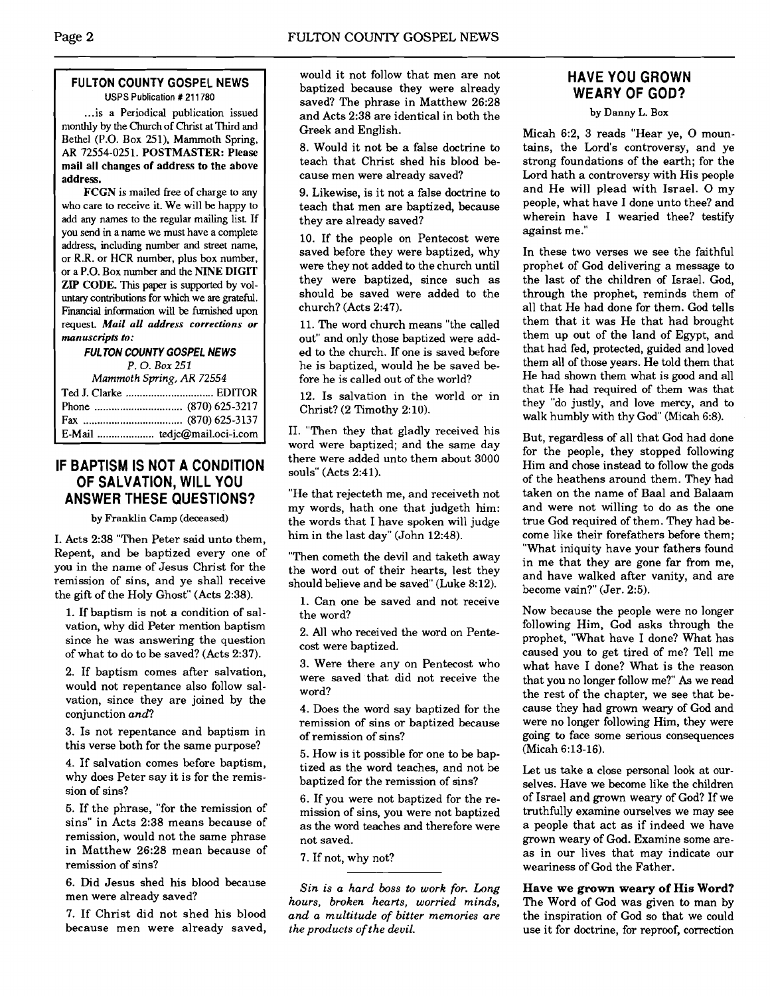## **FULTON COllNTY GOSPEL NEWS USPS Publication P 21** 1780

... is a Periodical publication issued monthly by the Church of Christ at Third and Bethel (P.O. Box **251).** Mammoth Spring, AR 72554-025 1. POSTMASTER: Please mail all changes of address to the above address.

FCGN is mailed free of charge to any who care to receive it. We will be happy to add any names to the regular mailing list. If you send in a name we must have a complete address, including number and street name, or R.R. or HCR number, plus box number, or a P.O. Box number and the NINE DIGIT **ZIP** CODE. This paper is supported by voluntary contributions for which we are grateful. Financial information will be furnished upon request. **Mail** all **address corrections or manuscripts to:** 

## **FUL TON COUNTY GOSPEL NEWS**

*P.* 0. **Box** *251* 

| Mammoth Spring, AR 72554 |  |  |
|--------------------------|--|--|
|                          |  |  |
|                          |  |  |
|                          |  |  |
|                          |  |  |

# **IF BAPTISM IS NOT A CONDITION OF SALVATION, WILL YOU ANSWER 'THESE QUESTIONS?**

by Franklin Camp (deceased)

I. Acts 2:38 "Then Peter said unto them, Repent, and be baptized every one of you in the name of Jesus Christ for the remission of sins, and ye shall receive the gift of the Holy Ghost" (Acts 2:38).

1. If baptism is not a condition of salvation, why did Peter mention baptism since he was answering the question of what to do to be saved? (Acts 2:37).

2. If baptism comes after salvation, would not repentance also follow salvation, since they are joined by the conjunction *and?* 

3. Is not repentance and baptism in this verse both for the same purpose?

4. If salvation comes before baptism, why does Peter say it is for the remission of sins?

5. If the phrase, "for the remission of sins" in Acts 2:38 means because of remission, would not the same phrase in Matthew 26:28 mean because of remission of sins?

6. Did Jesus shed his blood because men were already saved?

7. If Christ did not shed his blood because men were already saved,

would it not follow that men are not baptized because they were already saved? The phrase in Matthew 26:28 and Acts 2:38 are identical in both the Greek and English.

8. Would it not be a false doctrine to teach that Christ shed his blood because men were already saved?

9. Likewise, is it not a false doctrine to teach that men are baptized, because they are already saved?

10. If the people on Pentecost were saved before they were baptized, why were they not added to the church until they were baptized, since such as should be saved were added to the church? (Acts 2:47).

11. The word church means "the called out" and only those baptized were added to the church. If one is saved before he is baptized, would he be saved before he is called out of the world?

12. Is salvation in the world or in Christ? (2 Timothy 2:lO).

11. "Then they that gladly received his word were baptized; and the same day there were added unto them about 3000 souls" (Acts 2:41).

"He that rejecteth me, and receiveth not my words, hath one that judgeth him: the words that I have spoken will judge him in the last day" (John 12:48).

"Then cometh the devil and taketh away the word out of their hearts, lest they should believe and be saved" (Luke 8:12).

1. Can one be saved and not receive the word?

2. All who received the word on Pentecost were baptized.

3. Were there any on Pentecost who were saved that did not receive the word?

4. Does the word say baptized for the remission of sins or baptized because of remission of sins?

5. How is it possible for one to be baptized as the word teaches, and not be baptized for the remission of sins?

6. If you were not baptized for the remission of sins, you were not baptized as the word teaches and therefore were not saved.

7. If not, why not?

*Sin is a hard boss to work for.* **Long**  *hours, broken hearts, worried minds, and a multitude of bitter memories are the products of the devil.* 

# **HAVE YOU GROWN WEARY OF GOD?**

by Danny L. **Box** 

Micah 6:2, 3 reads "Hear ye, 0 mountains, the Lord's controversy, and ye strong foundations of the earth; for the Lord hath a controversy with His people and He will plead with Israel. 0 my people, what have I done unto thee? and wherein have I wearied thee? testify against me."

In these two verses we see the faithful prophet of God delivering a message to the last of the children of Israel. God, through the prophet, reminds them of all that He had done for them. God tells them that it was He that had brought them up out of the land of Egypt, and that had fed, protected, guided and loved them all of those years. He told them that He had shown them what is good and all that He had required of them was that they "do justly, and love mercy, and to walk humbly with thy God" (Micah 6:8).

But, regardless of all that God had done for the people, they stopped following Him and chose instead to follow the gods of the heathens around them. They had taken on the name of Baal and Balaam and were not willing to do as the one true God required of them. They had become like their forefathers before them; "What iniquity have your fathers found in me that they are gone far from me, and have walked after vanity, and are become vain?" (Jer. 2:5).

Now because the people were no longer following Him, God asks through the prophet, "What have I done? What has caused you to get tired of me? Tell me what have I done? What is the reason that you no longer follow me?" As we read the rest of the chapter, we see that because they had grown weary of God and were no longer following Him, they were going to face some serious consequences (Micah 6:13-16).

Let us take a close personal look at ourselves. Have we become like the children of Israel and grown weary of God? If we truthfully examine ourselves we may see a people that act as if indeed we have grown weary of God. Examine some areas in our lives that may indicate our weariness of God the Father.

# **Have we grown weary of His Word?**

The Word of God was given to man by the inspiration of God so that we could use it for doctrine, for reproof, correction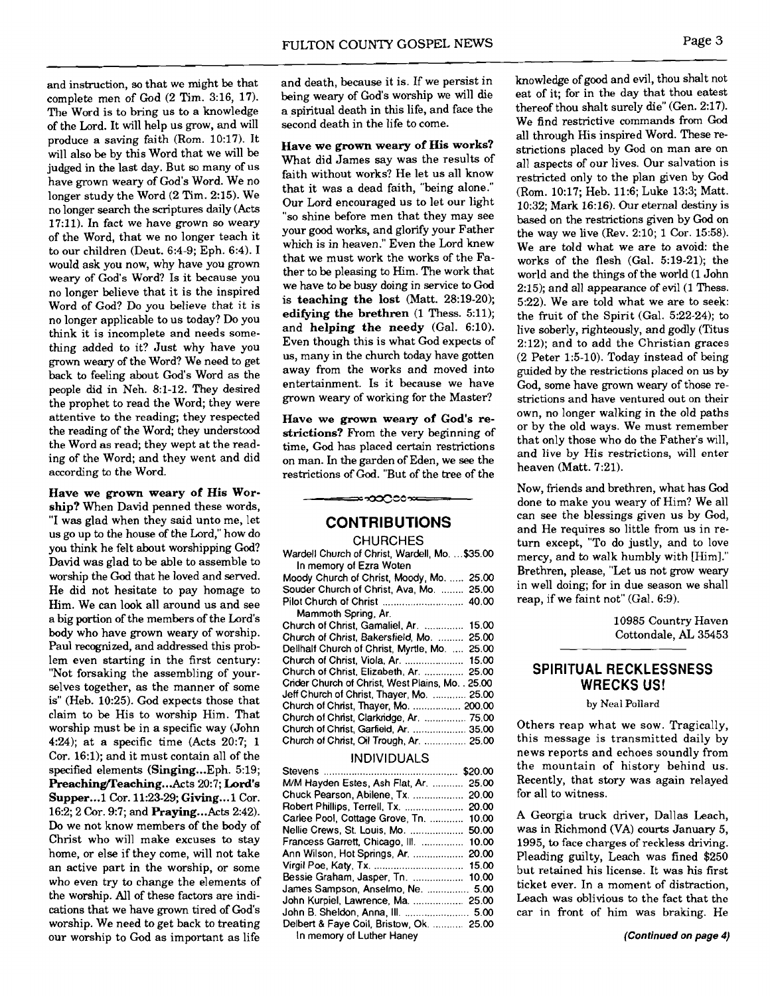and instruction, so that we might be that complete men of God (2 Tim. 3:16, 17). The Word is to bring us to a knowledge of the Lord. It will help us grow, and will produce a saving faith (Rom. 10:17). It will also be by this Word that we will be judged in the last day. But so many of us have grown weary of God's Word. We no longer study the Word (2 Tim. 2:15). We no longer search the scriptures daily (Acts 17:ll). In fact we have grown so weary of the Word, that we no longer teach it to our children (Deut. 6:4-9; Eph. 6:4). I would ask you now, why have you grown weary of God's Word? Is it because you no longer believe that it is the inspired Word of God? Do you believe that it is no longer applicable to us today? Do you think it is incomplete and needs something added to it? Just why have you grown weary of the Word? We need to get back to feeling about God's Word as the people did in Neh. 8:l-12. They desired the prophet to read the Word; they were attentive to the reading; they respected the reading of the Word; they understood the Word as read; they wept at the reading of the Word; and they went and did according to the Word.

**Have we grown weary of** His **Worship?** When David penned these words, "I was glad when they said unto me, let us go up to the house of the Lord," how do you think he felt about worshipping God? David was glad to be able to assemble to worship the God that he loved and served. He did not hesitate to pay homage to Him. We can look all around us and see a big portion of the members of the Lord's body who have grown weary of worship. Paul recognized, and addressed this problem even starting in the first century: "Not forsaking the assembling of yourselves together, as the manner of some is" (Heb. 10:25). God expects those that claim to be His to worship Him. That worship must be in a specific way (John 4:24); at a specific time (Acts 20:7; 1 Cor. 16:l); and it must contain all of the specified elements (Singing...Eph. 5:19; Preaching/Teaching... Acts 20:7; Lord's **Supper** ... 1 Cor. 11:23-29; **Giving** ... 1 Cor. 16:2; 2 Cor. 9:7; and **Praying...** Acts 2:42). Do we not know members of the body of Christ who will make excuses to stay home, or else if they come, will not take an active part in the worship, or some who even try to change the elements of the worship. All of these factors are indications that we have grown tired of God's worship. We need to get back to treating our worship to God as important as life

and death, because it is. If we persist in being weary of God's worship we will die a spiritual death in this life, and face the second death in the life to come.

**Have we grown weary of His works?**  What did James say was the results of faith without works? He let us all know that it was a dead faith, "being alone." Our Lord encouraged us to let our light "so shine before men that they may see your good works, and glorify your Father which is in heaven." Even the Lord knew that we must work the works of the Father to be pleasing to Him. The work that we have to be busy doing in service to God is **teaching the lost** (Matt. 28:19-20); **edifying the brethren** (1 Thess. 5:ll); and **helping the needy** (Gal. 6:lO). Even though this is what God expects of us, many in the church today have gotten away from the works and moved into entertainment. Is it because we have grown weary of working for the Master?

**Have we grown weary of God's restrictions?** From the very beginning of time, God has placed certain restrictions on man. In the garden of Eden, we **see** the restrictions of God. "But of the tree of the

# ≈∞೦೦೦∞≈ **CONTRIBUTIONS**

### CHURCHES

Wardell Church of Christ, Wardell, Mo. .. **.\$35.00**  In memory of Ezra Woten

## INDIVIDUALS

|                                          | \$20.00 |
|------------------------------------------|---------|
| M/M Hayden Estes, Ash Flat, Ar.          | 25.00   |
| Chuck Pearson, Abilene, Tx.              | 20.00   |
| Robert Phillips, Terrell, Tx.            | 20.00   |
| Carlee Pool, Cottage Grove, Tn.          | 10.00   |
| Nellie Crews, St. Louis, Mo.             | 50.00   |
| Francess Garrett, Chicago, III.          | 10.00   |
| Ann Wilson, Hot Springs, Ar.             | 20.00   |
|                                          | 15.00   |
| Bessie Graham, Jasper, Tn.               | 10.00   |
| James Sampson, Anselmo, Ne.  5.00        |         |
| John Kurpiel, Lawrence, Ma.  25.00       |         |
| John B. Sheldon, Anna, III.  5.00        |         |
| Delbert & Faye Coil, Bristow, Ok.  25.00 |         |
| lo momoni of Lubor Honou                 |         |

In memory of Luther Haney

knowledge of good and evil, thou shalt not eat of it; for in the day that thou eatest thereof thou shalt surely die" (Gen. 2:17). We find restrictive commands from God all through His inspired Word. These restrictions placed by God on man are on all aspects of our lives. Our salvation is restricted only to the plan given by God (Rom. 10:17; Heb. 11:6; Luke 13:3; Matt. 10:32; Mark 16:16). Our eternal destiny is based on the restrictions given by God on the way we live (Rev. 2:lO; 1 Cor. 15:58). We are told what we are to avoid: the works of the flesh (Gal. 5:19-21); the world and the things of the world (1 John 2:15); and all appearance of evil (1 Thess. 5:22). We are told what we are to seek: the fruit of the Spirit (Gal. 5:22-24); to live soberly, righteously, and godly (Titus 2:12); and to add the Christian graces (2 Peter 1:5-10). Today instead of being guided by the restrictions placed on us by God, some have grown weary of those restrictions and have ventured out on their own, no longer walking in the old paths or by the old ways. We must remember that only those who do the Father's will, and live by His restrictions, will enter heaven (Matt. 7:21).

Now, friends and brethren, what has God done to make you weary of Him? We all can see the blessings given us by God, and He requires so little from us in return except, "To do justly, and to love mercy, and to walk humbly with [Him]." Brethren, please, "Let us not grow weary in well doing; for in due season we shall reap, if we faint not" (Gal. 6:9).

> 10985 Country Haven Cottondale, **AL** 35453

# **SPIRI'TUAL RECKLESSNESS WRECKS US!**

## **by Neal Pollard**

Others reap what we sow. Tragically, this message is transmitted daily by news reports and echoes soundly from the mountain of history behind us. Recently, that story was again relayed for all to witness.

A Georgia truck driver, Dallas Leach, was in Richmond (VA) courts January 5, 1995, to face charges of reckless driving. Pleading guilty, Leach was fined \$250 but retained his license. It was his first ticket ever. In a moment of distraction, Leach was oblivious to the fact that the car in front of him was braking. He